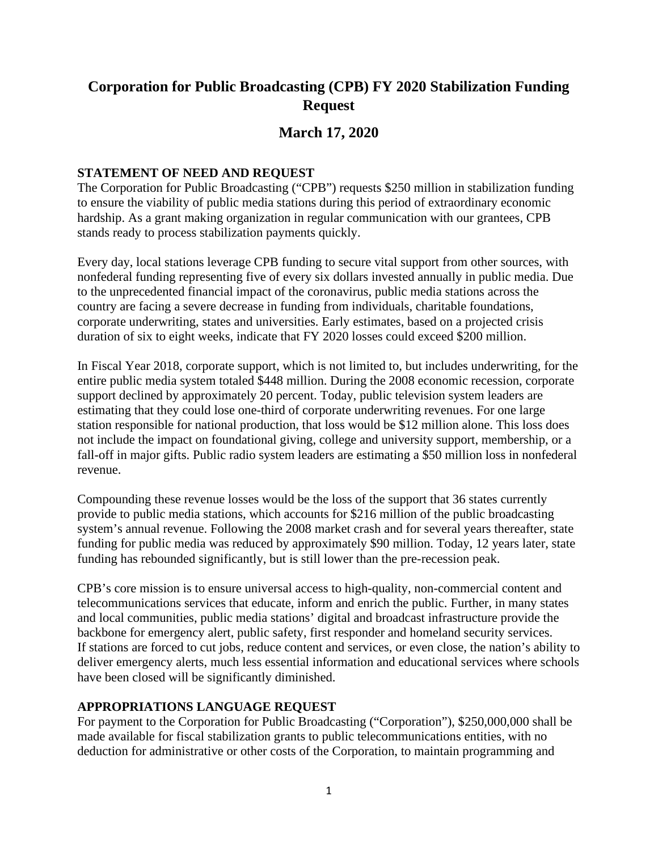# **Corporation for Public Broadcasting (CPB) FY 2020 Stabilization Funding Request**

# **March 17, 2020**

#### **STATEMENT OF NEED AND REQUEST**

The Corporation for Public Broadcasting ("CPB") requests \$250 million in stabilization funding to ensure the viability of public media stations during this period of extraordinary economic hardship. As a grant making organization in regular communication with our grantees, CPB stands ready to process stabilization payments quickly.

Every day, local stations leverage CPB funding to secure vital support from other sources, with nonfederal funding representing five of every six dollars invested annually in public media. Due to the unprecedented financial impact of the coronavirus, public media stations across the country are facing a severe decrease in funding from individuals, charitable foundations, corporate underwriting, states and universities. Early estimates, based on a projected crisis duration of six to eight weeks, indicate that FY 2020 losses could exceed \$200 million.

In Fiscal Year 2018, corporate support, which is not limited to, but includes underwriting, for the entire public media system totaled \$448 million. During the 2008 economic recession, corporate support declined by approximately 20 percent. Today, public television system leaders are estimating that they could lose one-third of corporate underwriting revenues. For one large station responsible for national production, that loss would be \$12 million alone. This loss does not include the impact on foundational giving, college and university support, membership, or a fall-off in major gifts. Public radio system leaders are estimating a \$50 million loss in nonfederal revenue.

Compounding these revenue losses would be the loss of the support that 36 states currently provide to public media stations, which accounts for \$216 million of the public broadcasting system's annual revenue. Following the 2008 market crash and for several years thereafter, state funding for public media was reduced by approximately \$90 million. Today, 12 years later, state funding has rebounded significantly, but is still lower than the pre-recession peak.

CPB's core mission is to ensure universal access to high-quality, non-commercial content and telecommunications services that educate, inform and enrich the public. Further, in many states and local communities, public media stations' digital and broadcast infrastructure provide the backbone for emergency alert, public safety, first responder and homeland security services. If stations are forced to cut jobs, reduce content and services, or even close, the nation's ability to deliver emergency alerts, much less essential information and educational services where schools have been closed will be significantly diminished.

#### **APPROPRIATIONS LANGUAGE REQUEST**

For payment to the Corporation for Public Broadcasting ("Corporation"), \$250,000,000 shall be made available for fiscal stabilization grants to public telecommunications entities, with no deduction for administrative or other costs of the Corporation, to maintain programming and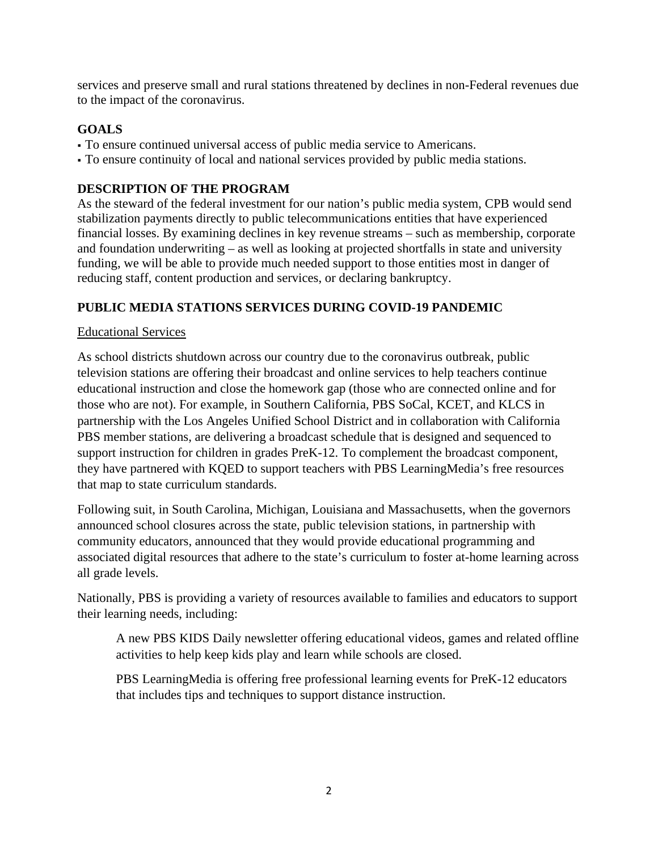services and preserve small and rural stations threatened by declines in non-Federal revenues due to the impact of the coronavirus.

# **GOALS**

- To ensure continued universal access of public media service to Americans.
- To ensure continuity of local and national services provided by public media stations.

# **DESCRIPTION OF THE PROGRAM**

As the steward of the federal investment for our nation's public media system, CPB would send stabilization payments directly to public telecommunications entities that have experienced financial losses. By examining declines in key revenue streams – such as membership, corporate and foundation underwriting – as well as looking at projected shortfalls in state and university funding, we will be able to provide much needed support to those entities most in danger of reducing staff, content production and services, or declaring bankruptcy.

#### **PUBLIC MEDIA STATIONS SERVICES DURING COVID-19 PANDEMIC**

#### Educational Services

As school districts shutdown across our country due to the coronavirus outbreak, public television stations are offering their broadcast and online services to help teachers continue educational instruction and close the homework gap (those who are connected online and for those who are not). For example, in Southern California, PBS SoCal, KCET, and KLCS in partnership with the Los Angeles Unified School District and in collaboration with California PBS member stations, are delivering a broadcast schedule that is designed and sequenced to support instruction for children in grades PreK-12. To complement the broadcast component, they have partnered with KQED to support teachers with PBS LearningMedia's free resources that map to state curriculum standards.

Following suit, in South Carolina, Michigan, Louisiana and Massachusetts, when the governors announced school closures across the state, public television stations, in partnership with community educators, announced that they would provide educational programming and associated digital resources that adhere to the state's curriculum to foster at-home learning across all grade levels.

Nationally, PBS is providing a variety of resources available to families and educators to support their learning needs, including:

A new PBS KIDS Daily newsletter offering educational videos, games and related offline activities to help keep kids play and learn while schools are closed.

PBS LearningMedia is offering free professional learning events for PreK-12 educators that includes tips and techniques to support distance instruction.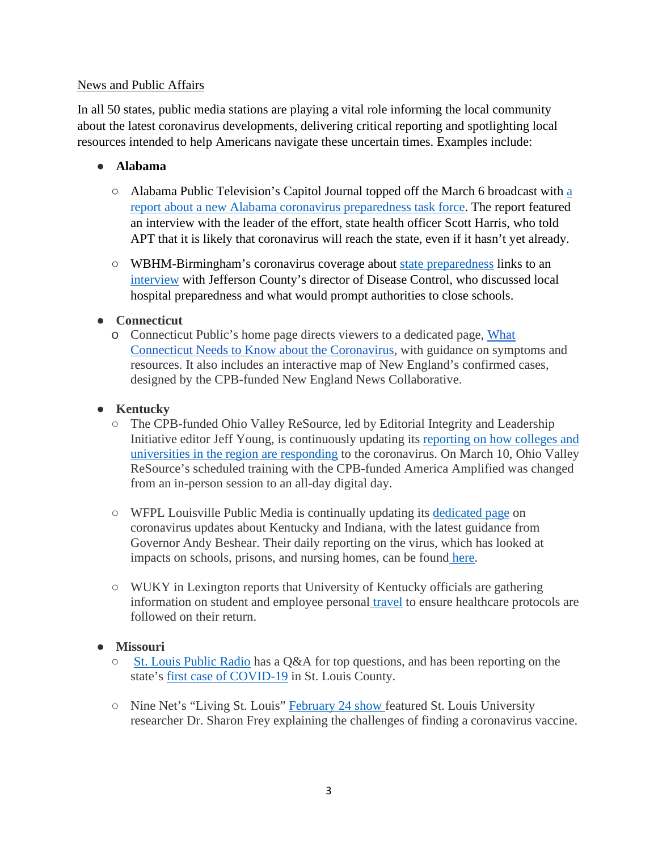#### News and Public Affairs

In all 50 states, public media stations are playing a vital role informing the local community about the latest coronavirus developments, delivering critical reporting and spotlighting local resources intended to help Americans navigate these uncertain times. Examples include:

#### ● **Alabama**

- Alabama Public Television's Capitol Journal topped off the March 6 broadcast with [a](https://video.aptv.org/video/march-6-2020-zzff2w/)  [report about a new Alabama coronavirus preparedness task force.](https://video.aptv.org/video/march-6-2020-zzff2w/) The report featured an interview with the leader of the effort, state health officer Scott Harris, who told APT that it is likely that coronavirus will reach the state, even if it hasn't yet already.
- WBHM-Birmingham's coronavirus coverage about [state preparedness](https://wbhm.org/feature/2020/state-health-department-offers-covid-19-testing/) links to an [interview](https://wbhm.org/feature/2020/jefferson-county-department-health-prepared-coronavirus/) with Jefferson County's director of Disease Control, who discussed local hospital preparedness and what would prompt authorities to close schools.

#### ● **Connecticut**

o Connecticut Public's home page directs viewers to a dedicated page, [What](https://ctpublic.org/community-resources/coronavirus-what-connecticut-needs-to-know/)  [Connecticut Needs to Know about the Coronavirus,](https://ctpublic.org/community-resources/coronavirus-what-connecticut-needs-to-know/) with guidance on symptoms and resources. It also includes an interactive map of New England's confirmed cases, designed by the CPB-funded New England News Collaborative.

# ● **Kentucky**

- The CPB-funded Ohio Valley ReSource, led by Editorial Integrity and Leadership Initiative editor Jeff Young, is continuously updating its [reporting on how colleges and](https://ohiovalleyresource.org/2020/03/10/ohio-valley-colleges-and-universities-respond-to-coronavirus-threat/)  [universities in the region are responding](https://ohiovalleyresource.org/2020/03/10/ohio-valley-colleges-and-universities-respond-to-coronavirus-threat/) to the coronavirus. On March 10, Ohio Valley ReSource's scheduled training with the CPB-funded America Amplified was changed from an in-person session to an all-day digital day.
- WFPL Louisville Public Media is continually updating its [dedicated page](https://wfpl.org/live-coverage-coronavirus-in-the-louisville-area/) on coronavirus updates about Kentucky and Indiana, with the latest guidance from Governor Andy Beshear. Their daily reporting on the virus, which has looked at impacts on schools, prisons, and nursing homes, can be found [here.](https://wfpl.org/tag/coronavirus/)
- WUKY in Lexington reports that University of Kentucky officials are gathering information on student and employee personal [travel](https://www.wuky.org/post/university-kentucky-seeking-travel-info-amid-virus-outbreak) to ensure healthcare protocols are followed on their return.

#### ● **Missouri**

- [St. Louis Public Radio](https://news.stlpublicradio.org/post/worried-about-coronavirus-st-louis-public-radio-answers-your-questions#stream/0) has a Q&A for top questions, and has been reporting on the state's [first case of COVID-19](https://news.stlpublicradio.org/post/first-missouri-coronavirus-case-st-louis-county#stream/0) in St. Louis County.
- Nine Net's "Living St. Louis" [February 24 show f](https://videos.oeta.tv/video/monday-february-24-8o9sm1/)eatured St. Louis University researcher Dr. Sharon Frey explaining the challenges of finding a coronavirus vaccine.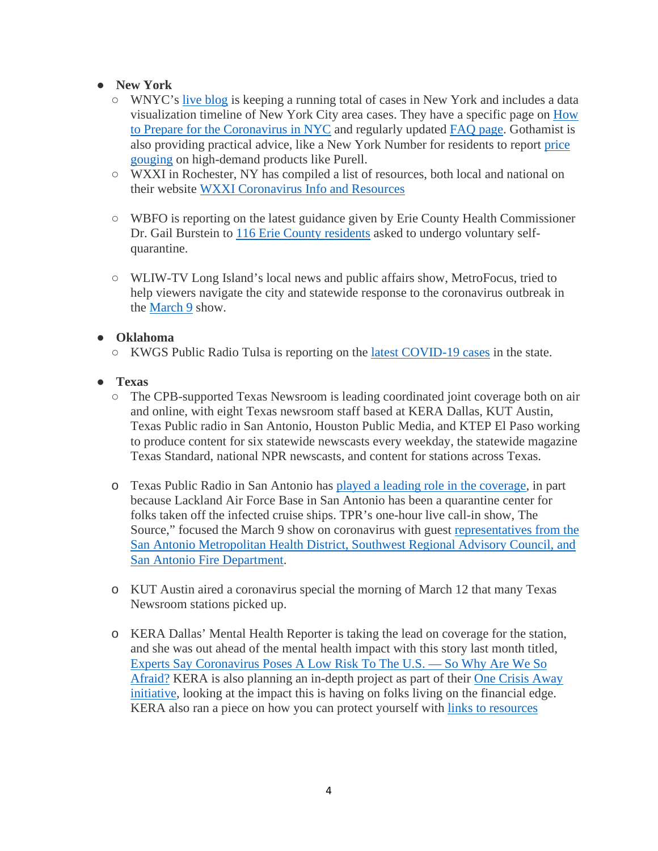# ● **New York**

- WNYC's [live blog](https://gothamist.com/news/coronavirus-updates-case-rockaway-case-ny-nyc) is keeping a running total of cases in New York and includes a data visualization timeline of New York City area cases. They have a specific page on [How](https://gothamist.com/news/how-prepare-coronavirus-nyc)  [to Prepare for the Coronavirus in NYC](https://gothamist.com/news/how-prepare-coronavirus-nyc) and regularly updated [FAQ page.](https://gothamist.com/news/coronavirus-covid-19-questions-answers) Gothamist is also providing practical advice, like a New York Number for residents to report [price](https://gothamist.com/news/some-nyc-stores-are-allegedly-price-gouging-purell-other-scarce-coronavirus-items)  [gouging](https://gothamist.com/news/some-nyc-stores-are-allegedly-price-gouging-purell-other-scarce-coronavirus-items) on high-demand products like Purell.
- WXXI in Rochester, NY has compiled a list of resources, both local and national on their website [WXXI Coronavirus Info and Resources](https://www.wxxinews.org/post/coronavirus-info-and-resources)
- WBFO is reporting on the latest guidance given by Erie County Health Commissioner Dr. Gail Burstein to [116 Erie County residents](https://news.wbfo.org/post/erie-county-s-100-plus-quarantined-residents-asked-use-private-bathroom-keep-temperature-log) asked to undergo voluntary selfquarantine.
- WLIW-TV Long Island's local news and public affairs show, MetroFocus, tried to help viewers navigate the city and statewide response to the coronavirus outbreak in the [March 9](https://www.wliw.org/programs/metrofocus/) show.

#### ● **Oklahoma**

- KWGS Public Radio Tulsa is reporting on the [latest COVID-19 cases](https://www.publicradiotulsa.org/post/health-department-announces-second-positive-test-covid-19-tulsa-county) in the state.
- **Texas**
	- The CPB-supported Texas Newsroom is leading coordinated joint coverage both on air and online, with eight Texas newsroom staff based at KERA Dallas, KUT Austin, Texas Public radio in San Antonio, Houston Public Media, and KTEP El Paso working to produce content for six statewide newscasts every weekday, the statewide magazine Texas Standard, national NPR newscasts, and content for stations across Texas.
	- o Texas Public Radio in San Antonio has [played a leading role in the coverage,](https://www.tpr.org/post/texans-california-cruise-ship-coming-san-antonio-begin-coronavirus-quarantine) in part because Lackland Air Force Base in San Antonio has been a quarantine center for folks taken off the infected cruise ships. TPR's one-hour live call-in show, The Source," focused the March 9 show on coronavirus with guest [representatives from the](https://www.tpr.org/post/how-are-san-antonio-public-health-and-safety-officials-responding-coronavirus-concerns)  [San Antonio Metropolitan Health District, Southwest Regional Advisory Council, and](https://www.tpr.org/post/how-are-san-antonio-public-health-and-safety-officials-responding-coronavirus-concerns)  [San Antonio Fire Department.](https://www.tpr.org/post/how-are-san-antonio-public-health-and-safety-officials-responding-coronavirus-concerns)
	- o KUT Austin aired a coronavirus special the morning of March 12 that many Texas Newsroom stations picked up.
	- o KERA Dallas' Mental Health Reporter is taking the lead on coverage for the station, and she was out ahead of the mental health impact with this story last month titled, [Experts Say Coronavirus Poses A Low Risk To The U.S. —](https://www.keranews.org/post/experts-say-coronavirus-poses-low-risk-us-so-why-are-we-so-afraid) So Why Are We So [Afraid?](https://www.keranews.org/post/experts-say-coronavirus-poses-low-risk-us-so-why-are-we-so-afraid) KERA is also planning an in-depth project as part of their [One Crisis Away](https://www.keranews.org/topic/one-crisis-away)  [initiative,](https://www.keranews.org/topic/one-crisis-away) looking at the impact this is having on folks living on the financial edge. KERA also ran a piece on how you can protect yourself with [links to resources](https://www.keranews.org/post/coronavirus-what-you-can-do-protect-yourself)